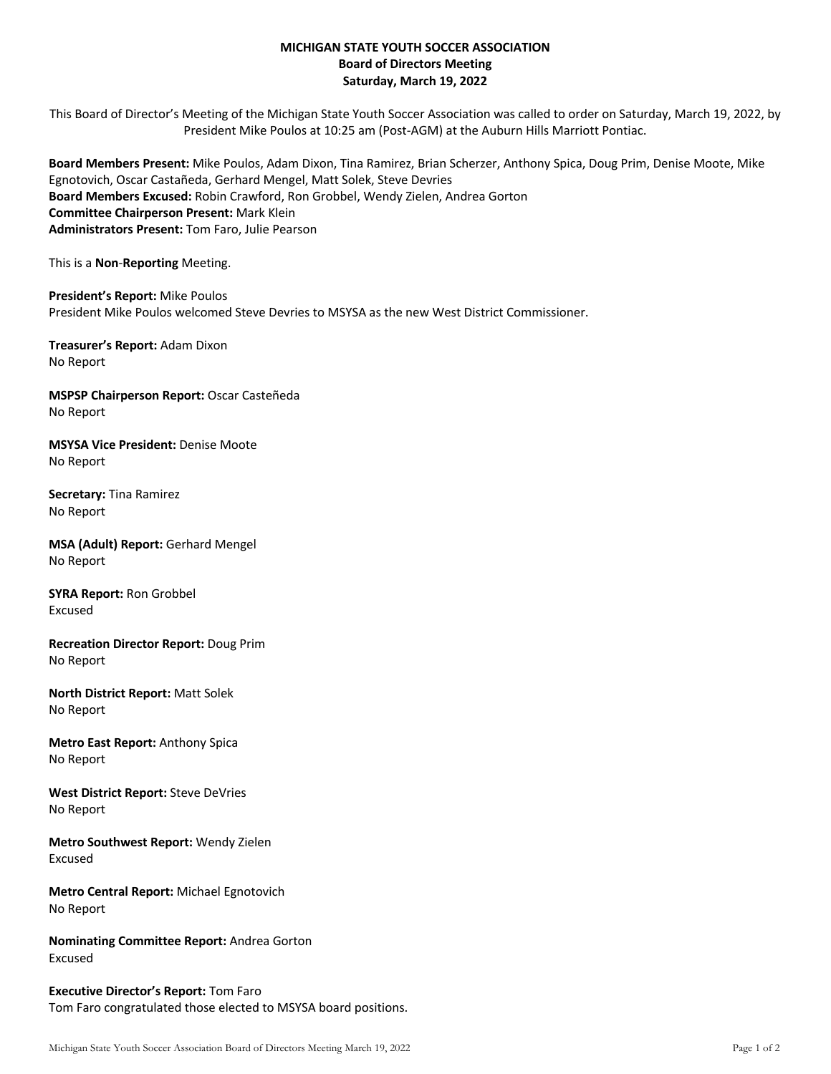## **MICHIGAN STATE YOUTH SOCCER ASSOCIATION Board of Directors Meeting Saturday, March 19, 2022**

This Board of Director's Meeting of the Michigan State Youth Soccer Association was called to order on Saturday, March 19, 2022, by President Mike Poulos at 10:25 am (Post-AGM) at the Auburn Hills Marriott Pontiac.

**Board Members Present:** Mike Poulos, Adam Dixon, Tina Ramirez, Brian Scherzer, Anthony Spica, Doug Prim, Denise Moote, Mike Egnotovich, Oscar Castañeda, Gerhard Mengel, Matt Solek, Steve Devries **Board Members Excused:** Robin Crawford, Ron Grobbel, Wendy Zielen, Andrea Gorton **Committee Chairperson Present:** Mark Klein **Administrators Present:** Tom Faro, Julie Pearson

This is a **Non**-**Reporting** Meeting.

**President's Report:** Mike Poulos President Mike Poulos welcomed Steve Devries to MSYSA as the new West District Commissioner.

**Treasurer's Report:** Adam Dixon No Report

**MSPSP Chairperson Report:** Oscar Casteñeda No Report

**MSYSA Vice President:** Denise Moote No Report

**Secretary:** Tina Ramirez No Report

**MSA (Adult) Report:** Gerhard Mengel No Report

**SYRA Report:** Ron Grobbel Excused

**Recreation Director Report:** Doug Prim No Report

**North District Report:** Matt Solek No Report

**Metro East Report:** Anthony Spica No Report

**West District Report:** Steve DeVries No Report

**Metro Southwest Report:** Wendy Zielen Excused

**Metro Central Report:** Michael Egnotovich No Report

**Nominating Committee Report:** Andrea Gorton Excused

**Executive Director's Report:** Tom Faro Tom Faro congratulated those elected to MSYSA board positions.